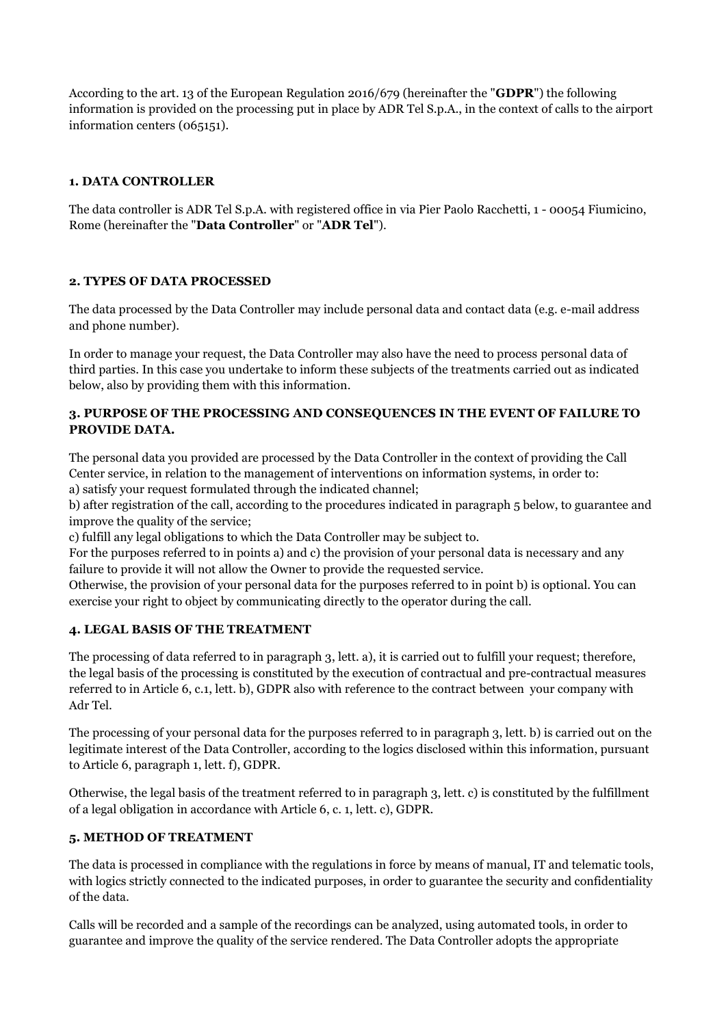According to the art. 13 of the European Regulation 2016/679 (hereinafter the "**GDPR**") the following information is provided on the processing put in place by ADR Tel S.p.A., in the context of calls to the airport information centers (065151).

## **1. DATA CONTROLLER**

The data controller is ADR Tel S.p.A. with registered office in via Pier Paolo Racchetti, 1 - 00054 Fiumicino, Rome (hereinafter the "**Data Controller**" or "**ADR Tel**").

## **2. TYPES OF DATA PROCESSED**

The data processed by the Data Controller may include personal data and contact data (e.g. e-mail address and phone number).

In order to manage your request, the Data Controller may also have the need to process personal data of third parties. In this case you undertake to inform these subjects of the treatments carried out as indicated below, also by providing them with this information.

# **3. PURPOSE OF THE PROCESSING AND CONSEQUENCES IN THE EVENT OF FAILURE TO PROVIDE DATA.**

The personal data you provided are processed by the Data Controller in the context of providing the Call Center service, in relation to the management of interventions on information systems, in order to: a) satisfy your request formulated through the indicated channel;

b) after registration of the call, according to the procedures indicated in paragraph 5 below, to guarantee and improve the quality of the service;

c) fulfill any legal obligations to which the Data Controller may be subject to.

For the purposes referred to in points a) and c) the provision of your personal data is necessary and any failure to provide it will not allow the Owner to provide the requested service.

Otherwise, the provision of your personal data for the purposes referred to in point b) is optional. You can exercise your right to object by communicating directly to the operator during the call.

# **4. LEGAL BASIS OF THE TREATMENT**

The processing of data referred to in paragraph 3, lett. a), it is carried out to fulfill your request; therefore, the legal basis of the processing is constituted by the execution of contractual and pre-contractual measures referred to in Article 6, c.1, lett. b), GDPR also with reference to the contract between your company with Adr Tel.

The processing of your personal data for the purposes referred to in paragraph 3, lett. b) is carried out on the legitimate interest of the Data Controller, according to the logics disclosed within this information, pursuant to Article 6, paragraph 1, lett. f), GDPR.

Otherwise, the legal basis of the treatment referred to in paragraph 3, lett. c) is constituted by the fulfillment of a legal obligation in accordance with Article 6, c. 1, lett. c), GDPR.

#### **5. METHOD OF TREATMENT**

The data is processed in compliance with the regulations in force by means of manual, IT and telematic tools, with logics strictly connected to the indicated purposes, in order to guarantee the security and confidentiality of the data.

Calls will be recorded and a sample of the recordings can be analyzed, using automated tools, in order to guarantee and improve the quality of the service rendered. The Data Controller adopts the appropriate